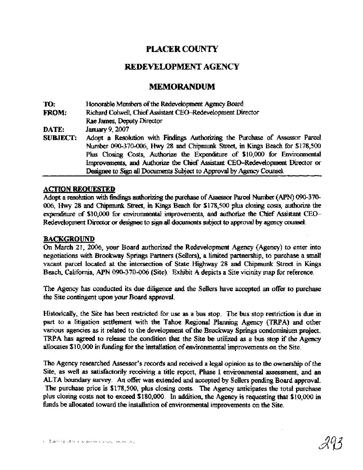## **PLACER COUNTY**

### **REDEVELOPMENT AGENCY**

### **MEMORANDUM**

| TO:             | Honorable Members of the Redevelopment Agency Board                           |
|-----------------|-------------------------------------------------------------------------------|
| FROM:           | Richard Colwell, Chief Assistant CEO-Redevelopment Director                   |
|                 | Rae James, Deputy Director                                                    |
| DATE:           | January 9, 2007                                                               |
| <b>SUBJECT:</b> | Adopt a Resolution with Findings Authorizing the Purchase of Assessor Parcel  |
|                 | Number 090-370-006, Hwy 28 and Chipmunk Street, in Kings Beach for \$178,500  |
|                 | Plus Closing Costs, Authorize the Expenditure of \$10,000 for Environmental   |
|                 | Improvements, and Authorize the Chief Assistant CEO-Redevelopment Director or |
|                 | Designee to Sign all Documents Subject to Approval by Agency Counsel.         |

### **ACTION REOUESTED**

Adopt a resolution with findings authorizing the purchase of Assessor Parcel Number (APN) 090-370-006, Hwy 28 and Chipmunk Street, in Kings Beach for \$178,500 plus closing costs, authorize the expenditure of \$10,000 for environmental improvements, and authorize the Chief **Assistant** CEO-Redevelopment **Director** or designee to sign all doaunents subject to approval by **agency** counsel.

### BACKGROUND

On March 21, 2006, your Board authorized the Redevelopment Agency (Agency) to enter into negotiations with Brockway Springs Partners (Sellers), a limited partnership, to purchase a mall vacant parcel located **at** the intersection of State Highway 28 and Chipmunk Street in **Kings Beach,** California, APN 090-370-006 (Site). Exhibit A depicts a Site vicinity map for reference.

The Agency has conducted its due diligence and the Sellers have accepted an offer to purchase the Site contingent upon your Board approval.

Historically, the Site **has** been restricted for use as a bus stop. The bus stop restriction is due in part to a litigation settlement with the Tahoe Regional Planning Agency (TRPA) and other various agencies as it related to the development of the Brockway Springs condominium project. TRPA has agreed to release the condition that the Site be utilized as a bus stop if the Agency allocates \$10,000 in fbnding for the installation of environmental improvements on the Site.

The Agency researched Assessor's records and received a legal opinion as to the ownership of the Site, as well as satisfactorily receiving a title report, Phase I environmental assessment, and an ALTA boundary survey. An offer was extended and accepted by Sellers pending Board approval. The purchase price is \$178,500, plus closing costs. The **Agency** anticipates the total purchase plus closing **costs** not to exceed \$180,000. In addition, the Agency is requesting that \$10,000 in hnds be **allocated** toward the installation of environmental improvements on the Site.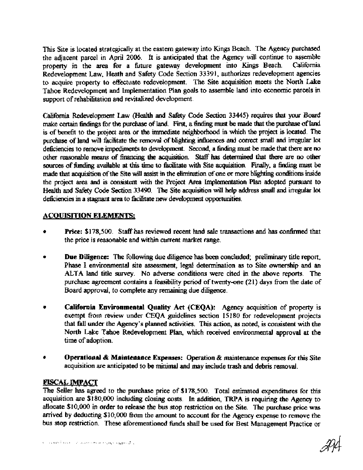This Site is located strategically at the eastern gateway into Kings Beach. The Agency purchased the adjacent parcel in April 2006. It is anticipated that the Agency will continue to assemble<br>property in the area for a future gateway development into Kings Beach. California property in the area for a future gateway development into Kings Beach. Redevelopment Law, Heath and Safety Code Section 33391, authorizes redevelopment agencies to acquire property to effectuate redevelopment. The Site acquisition meets the North Lake Tahoe Redevelopment and Implementation Plan goals to assemble land into economic parcels in support of rehabilitation and revitalized development.

California Redevelopment Law **(Health** and Safety Code Section 33445) requires **that** your Board make certain **fkdmgs** for **the** purchase of land. **rust,** a **finding** must be made that **the putchase** of land is of benefit to the project area or the immediate neighborhood in which the project is located. The purchase of land will facilitate the removal of blighting influences and correct small and irregular lot deficiencies to remove impediments to development. Second, a **finding** must be made **that** there are no other reasonable means of financing the aqukition Staff **has** determined that there are **no** other sources of **fiuading** available at this **time** to facilitate with Site aqukition. **Fmdly,** a **findug** must be made that acquisition of the Site will assist in the elimination of one or more blighting conditions inside the project area and is consistent with the Project Area Implementation Plan adopted pursuant to Health and Safety Code Section 33490. The Site acquisition will help address small and irregular lot deficiencies in a stagnant area to facilitate new development opportunities.

### **ACOUISITION ELEMENTS:**

- Price: \$178,500. Staff has reviewed recent land sale transactions and has confirmed that the price is reasonable and within current market range.
- Due Diligence: The following due diligence has been concluded; preliminary title report,  $\bullet$ Phase I environmental site assessment, legal determination as to Site ownership and an **ALTA** land title survey. No adverse conditions were cited in the above reports. The purchase agreement contains a feasibility period of twenty-one (21) days fiom the date of Board approval, to complete any remaining due diigence.
- $\bullet$ **California Environmental Quality Act (CEQA):** Agency acquisition of property is exempt fiom review under CEQA guidelines section 15180 for redevelopment projects that fall under the Agency's planned activities. This action, as noted, is consistent with the North Lake Tahoe Redevelopment Plan, which received environmental approval at the time of adoption.
- ۰ **Operational** & **Maintenance Expenses:** Operation & maintenance expenses for this Site acquisition are anticipated to be **minimal** and **may** include trash and debris removal.

### **FISCAL IMPACT**

The Seller **has** agreed to the purchase price of \$178,500. Total estimated expenditures for this acquisition are \$180,000 including closing costs. In addition, **TRPA** is requiring the Agency to allocate \$10,000 in order to release the bus stop restriction on the Site. The purchase price was arrived by deducting \$10,000 from the amount to account for the Agency expense to remove the bus stop restriction. These aforementioned hnds shall be used for Best Management Practice or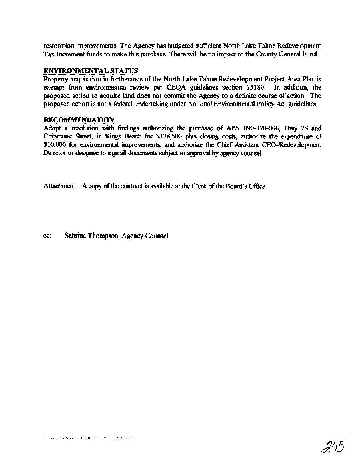restoration improvements. The Agency has budgeted sufficient North Lake Tahoe Redevelopment Tax Increment funds to make this purchase. There will be no impact to the County General Fund.

### **ENVIRONMENTAL STATUS**

Property acquisition in hrtherance of the North Lake Tahoe Redevelopment Project Area Plan is exempt from environmental review per CEQA guidelines section 15180. In addition, the proposed action to acquire land does not commit the Agency to a definite course of action. The proposed action is not a federal undertaking under National Environmental Policy Act guidelines.

### **RECOMMENDATION**

Adopt a resolution with **Wings** authorizing the purchase of APN 090-370-006, **Hwy** 28 and Chipmunk **Street,** in Kings Beach for \$178,500 plus closing **costs,** authorize the expendmue of \$lO,OOO for environmental improvements, **and** authorize the Chief Assistant CEO-Redevelopment Director or designee to sign all documents subject to approval by **agency** counsel.

Attachment - A *copy* of the contract is available at the Clerk of the Board's *Ofltice.* 

cc: Sabrina Thompson, Agency Counsel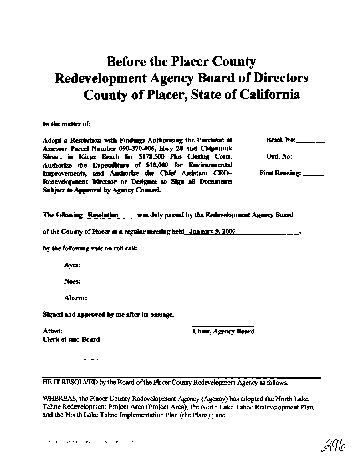# Before **the Placer** County **Redevelopment Agency Board of Directors**  County of Placer, State **of California**

In the matter of:

Adopt a Resolution with Findings Authorizing the Purchase of **Resol.** No: Assessor Parcel Number 090-370-006, Hwy 28 and Chipmunk Street, in Kings Beach for \$178,500 Plus Closing Costs, Ord. No: Authorize the Expenditure of \$10,000 for Environmental Improvements, and Authorize the Chief Assistant CEO- **First Reading:** \_\_\_\_\_\_ Redevdopment Director or **Dcsiee** to **Sign rll** Documents Subject to Approval by Agency Counsel

The following **Resolution** *<b>was duly passed by the Redevelopment Agency Board* 

of the County of Placer at a mguhr **meeting hekl** January 9,2007 **<sup>9</sup>**

by the following vote on **roll call:** 

**Ayes:** 

**Noes:** 

Absent:

Signed and approved by me after its passage

Attest: Clerk of said Board Chair, Agency **Board** 

**BE IT RESOLVED** by the Board of the Placer **County** Redevelopment Agency **as** follows:

WHEREAS, the Placer County Redevelopment Agency (Agency) has adopted the North Lake Tahoe Redevelopment Project Area (Project Area), the North Lake Tahoe Redevelopment Plan, **and** the North **Lake** Tahoe Implementation Plan (the Plans) ; **and** 

2ЧЮ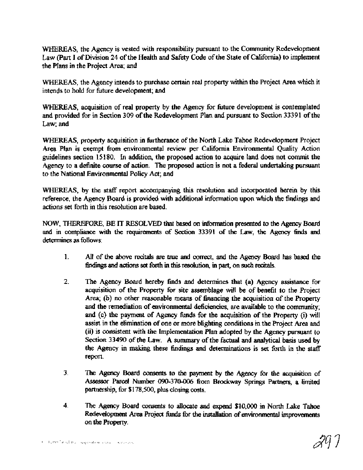WHEREAS, the Agency is vested with responsibility pursuant to the Community Redevelopment Law (Part I of Division 24 of the Health and Safety Code of the State of California) to implement the Plans in the Project Area; and

WHEREAS, the Agency intends to purchase certain real property within the Project Area which it intends to hold for future development; and

WHEREAS, acquisition of real property by the Agency for future development is contemplated and provided for in Section 309 of the Redevelopment Plan and pursuant to Section 33391 of the Law; and

WHEREAS, property acquisition in furtherance of the North Lake Tahoe Redevelopment Project Area Plan is exempt from environmental review per California Environmental Quality Action guidelines section 15180. In addition, the proposed action to acquire land does not commit the Agency to a definite course of action. The proposed action is not a federal undertaking pursuant to the National Environmental Policy Act; and

WHEREAS, by the **staff** report accompanying this resolution and incorporated herein by this reference, the Agency Board is provided with additional information upon which the findings and actions set forth in this resolution are based.

NOW, THEREFORE, BE IT RESOLVED that based on infodon presented to **the Agency** Board and in compliance with the requirements of Section 33391 of the Law, the Agency finds and determines as follows:

- 1. **All of the above recitals are true and correct, and the Agency Board has based the iindings** and actions **set** forth in **this** resolution, in **part,** on such recitals.
- **2.** The Agency Board hereby finds and determines that (a) Agency assistance for acquisition of the Property for site assemblage will be of benefit to the Project Area; (b) no other reasonable means of financing the acquisition of the Property and the remediation of environmental deficiencies, are available to the community; and (c) the payment of Agency finds for the acquisition of the Property (i) will assist in the elimination of one or more blighting conditions in the Project Area and **(ii)** is consistent with the Implementation **Plan** adopted by the Agency pursuant to Section 33490 of the Law. A **summary** of the factual and analytical basis used by the Agency in making these findings and determinations is **set** forth in the stag report.
- **3.** The Agency Board consents to the **payment** by the **Agency** for the acquisition of Assessor Parcel Number 090-370-006 from Brockway Springs Partners, a limited partnership, for \$178,500, plus closing costs.
- 4. The Agency Board consents to allocate and expend \$10,000 in North Lake Tahoe Redevelopment Area Project funds for the installation of environmental improvements on the Property.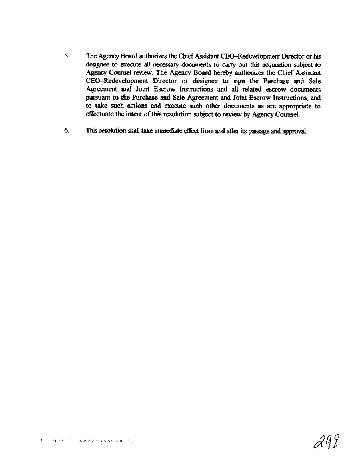- 5. The Agency Board authorizes the Chief Assistant CEO-Redevelopment Director or his designee to execute all necessary documents to carry out this acquisition **subject** to **Agency Counsel review.** The Agency Board hereby authorizes the Chief Assistant CEO-Redevelopment Director or designee to sign the Purchase and Sale Agreement and Joint Escrow Instructions and all related escrow documents pursuant to the Purchase and Sale Agreement and Joint Escrow Instructions, and to take such actions and execute such other documents as are appropriate to effectuate the intent of this resolution subject to review by Agency Counsel.
- *6.* This resolution shall take immediate *etkt* fkom and **after** its passage and **approval.**

$$
\mathcal{AIB}
$$